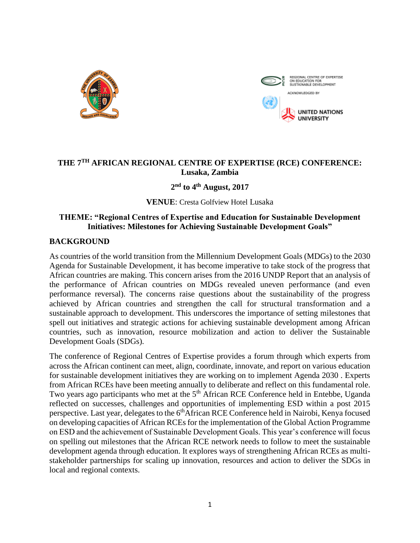



# **THE 7TH AFRICAN REGIONAL CENTRE OF EXPERTISE (RCE) CONFERENCE: Lusaka, Zambia**

## **2 nd to 4th August, 2017**

**VENUE**: Cresta Golfview Hotel Lusaka

## **THEME: "Regional Centres of Expertise and Education for Sustainable Development Initiatives: Milestones for Achieving Sustainable Development Goals"**

#### **BACKGROUND**

As countries of the world transition from the Millennium Development Goals (MDGs) to the 2030 Agenda for Sustainable Development, it has become imperative to take stock of the progress that African countries are making. This concern arises from the 2016 UNDP Report that an analysis of the performance of African countries on MDGs revealed uneven performance (and even performance reversal). The concerns raise questions about the sustainability of the progress achieved by African countries and strengthen the call for structural transformation and a sustainable approach to development. This underscores the importance of setting milestones that spell out initiatives and strategic actions for achieving sustainable development among African countries, such as innovation, resource mobilization and action to deliver the Sustainable Development Goals (SDGs).

The conference of Regional Centres of Expertise provides a forum through which experts from across the African continent can meet, align, coordinate, innovate, and report on various education for sustainable development initiatives they are working on to implement Agenda 2030 . Experts from African RCEs have been meeting annually to deliberate and reflect on this fundamental role. Two years ago participants who met at the  $5<sup>th</sup>$  African RCE Conference held in Entebbe, Uganda reflected on successes, challenges and opportunities of implementing ESD within a post 2015 perspective. Last year, delegates to the 6<sup>th</sup>African RCE Conference held in Nairobi, Kenya focused on developing capacities of African RCEs for the implementation of the Global Action Programme on ESD and the achievement of Sustainable Development Goals. This year's conference will focus on spelling out milestones that the African RCE network needs to follow to meet the sustainable development agenda through education. It explores ways of strengthening African RCEs as multistakeholder partnerships for scaling up innovation, resources and action to deliver the SDGs in local and regional contexts.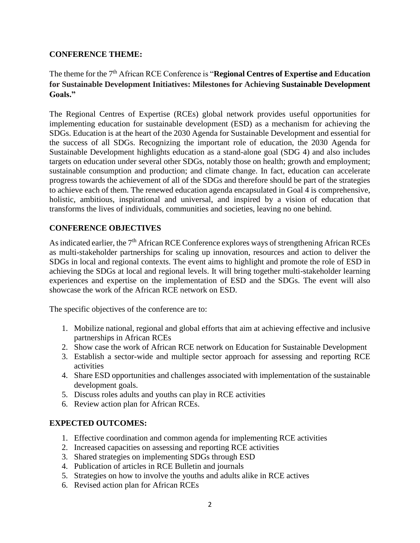#### **CONFERENCE THEME:**

# The theme for the 7<sup>th</sup> African RCE Conference is "**Regional Centres of Expertise and Education for Sustainable Development Initiatives: Milestones for Achieving Sustainable Development Goals."**

The Regional Centres of Expertise (RCEs) global network provides useful opportunities for implementing education for sustainable development (ESD) as a mechanism for achieving the SDGs. Education is at the heart of the 2030 Agenda for Sustainable Development and essential for the success of all SDGs. Recognizing the important role of education, the 2030 Agenda for Sustainable Development highlights education as a stand-alone goal (SDG 4) and also includes targets on education under several other SDGs, notably those on health; growth and employment; sustainable consumption and production; and climate change. In fact, education can accelerate progress towards the achievement of all of the SDGs and therefore should be part of the strategies to achieve each of them. The renewed education agenda encapsulated in Goal 4 is comprehensive, holistic, ambitious, inspirational and universal, and inspired by a vision of education that transforms the lives of individuals, communities and societies, leaving no one behind.

# **CONFERENCE OBJECTIVES**

As indicated earlier, the 7<sup>th</sup> African RCE Conference explores ways of strengthening African RCEs as multi-stakeholder partnerships for scaling up innovation, resources and action to deliver the SDGs in local and regional contexts. The event aims to highlight and promote the role of ESD in achieving the SDGs at local and regional levels. It will bring together multi-stakeholder learning experiences and expertise on the implementation of ESD and the SDGs. The event will also showcase the work of the African RCE network on ESD.

The specific objectives of the conference are to:

- 1. Mobilize national, regional and global efforts that aim at achieving effective and inclusive partnerships in African RCEs
- 2. Show case the work of African RCE network on Education for Sustainable Development
- 3. Establish a sector-wide and multiple sector approach for assessing and reporting RCE activities
- 4. Share ESD opportunities and challenges associated with implementation of the sustainable development goals.
- 5. Discuss roles adults and youths can play in RCE activities
- 6. Review action plan for African RCEs.

## **EXPECTED OUTCOMES:**

- 1. Effective coordination and common agenda for implementing RCE activities
- 2. Increased capacities on assessing and reporting RCE activities
- 3. Shared strategies on implementing SDGs through ESD
- 4. Publication of articles in RCE Bulletin and journals
- 5. Strategies on how to involve the youths and adults alike in RCE actives
- 6. Revised action plan for African RCEs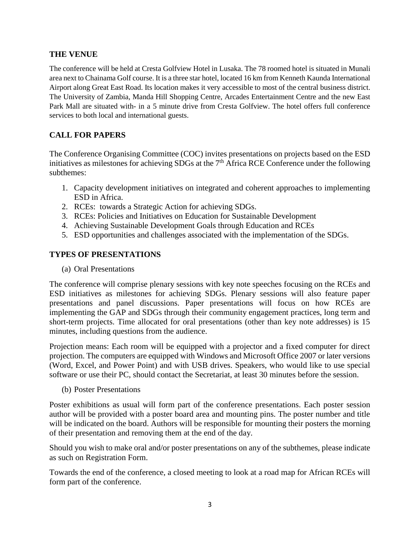#### **THE VENUE**

The conference will be held at Cresta Golfview Hotel in Lusaka. The 78 roomed hotel is situated in Munali area next to Chainama Golf course. It is a three star hotel, located 16 km from Kenneth Kaunda International Airport along Great East Road. Its location makes it very accessible to most of the central business district. The University of Zambia, Manda Hill Shopping Centre, Arcades Entertainment Centre and the new East Park Mall are situated with- in a 5 minute drive from Cresta Golfview. The hotel offers full conference services to both local and international guests.

# **CALL FOR PAPERS**

The Conference Organising Committee (COC) invites presentations on projects based on the ESD initiatives as milestones for achieving SDGs at the  $7<sup>th</sup>$  Africa RCE Conference under the following subthemes:

- 1. Capacity development initiatives on integrated and coherent approaches to implementing ESD in Africa.
- 2. RCEs: towards a Strategic Action for achieving SDGs.
- 3. RCEs: Policies and Initiatives on Education for Sustainable Development
- 4. Achieving Sustainable Development Goals through Education and RCEs
- 5. ESD opportunities and challenges associated with the implementation of the SDGs.

## **TYPES OF PRESENTATIONS**

(a) Oral Presentations

The conference will comprise plenary sessions with key note speeches focusing on the RCEs and ESD initiatives as milestones for achieving SDGs. Plenary sessions will also feature paper presentations and panel discussions. Paper presentations will focus on how RCEs are implementing the GAP and SDGs through their community engagement practices, long term and short-term projects. Time allocated for oral presentations (other than key note addresses) is 15 minutes, including questions from the audience.

Projection means: Each room will be equipped with a projector and a fixed computer for direct projection. The computers are equipped with Windows and Microsoft Office 2007 or later versions (Word, Excel, and Power Point) and with USB drives. Speakers, who would like to use special software or use their PC, should contact the Secretariat, at least 30 minutes before the session.

(b) Poster Presentations

Poster exhibitions as usual will form part of the conference presentations. Each poster session author will be provided with a poster board area and mounting pins. The poster number and title will be indicated on the board. Authors will be responsible for mounting their posters the morning of their presentation and removing them at the end of the day.

Should you wish to make oral and/or poster presentations on any of the subthemes, please indicate as such on Registration Form.

Towards the end of the conference, a closed meeting to look at a road map for African RCEs will form part of the conference.